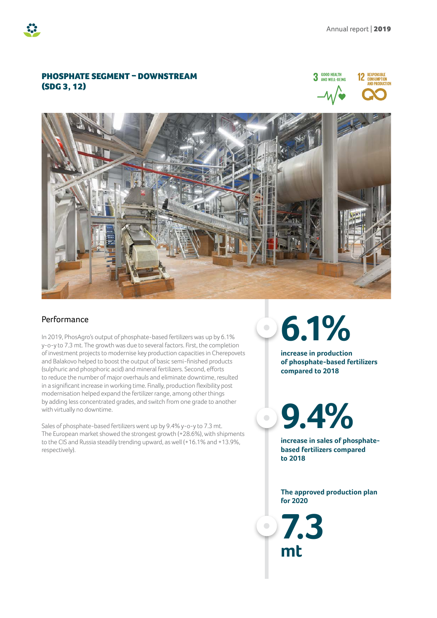## PHOSPHATE SEGMENT – DOWNSTREAM (SDG 3, 12)





## Performance

In 2019, PhosAgro's output of phosphate-based fertilizers was up by 6.1% y-o-y to 7.3 mt. The growth was due to several factors. First, the completion of investment projects to modernise key production capacities in Cherepovets and Balakovo helped to boost the output of basic semi-finished products (sulphuric and phosphoric acid) and mineral fertilizers. Second, efforts to reduce the number of major overhauls and eliminate downtime, resulted in a significant increase in working time. Finally, production flexibility post modernisation helped expand the fertilizer range, among other things by adding less concentrated grades, and switch from one grade to another with virtually no downtime.

Sales of phosphate-based fertilizers went up by 9.4% y-o-y to 7.3 mt. The European market showed the strongest growth (+28.6%), with shipments to the CIS and Russia steadily trending upward, as well (+16.1% and +13.9%, respectively).

**6.1%**

**increase in production of phosphate-based fertilizers compared to 2018**

**9.4%**

**increase in sales of phosphatebased fertilizers compared to 2018**

**The approved production plan for 2020**

**7.3 mt**

 $\bullet$